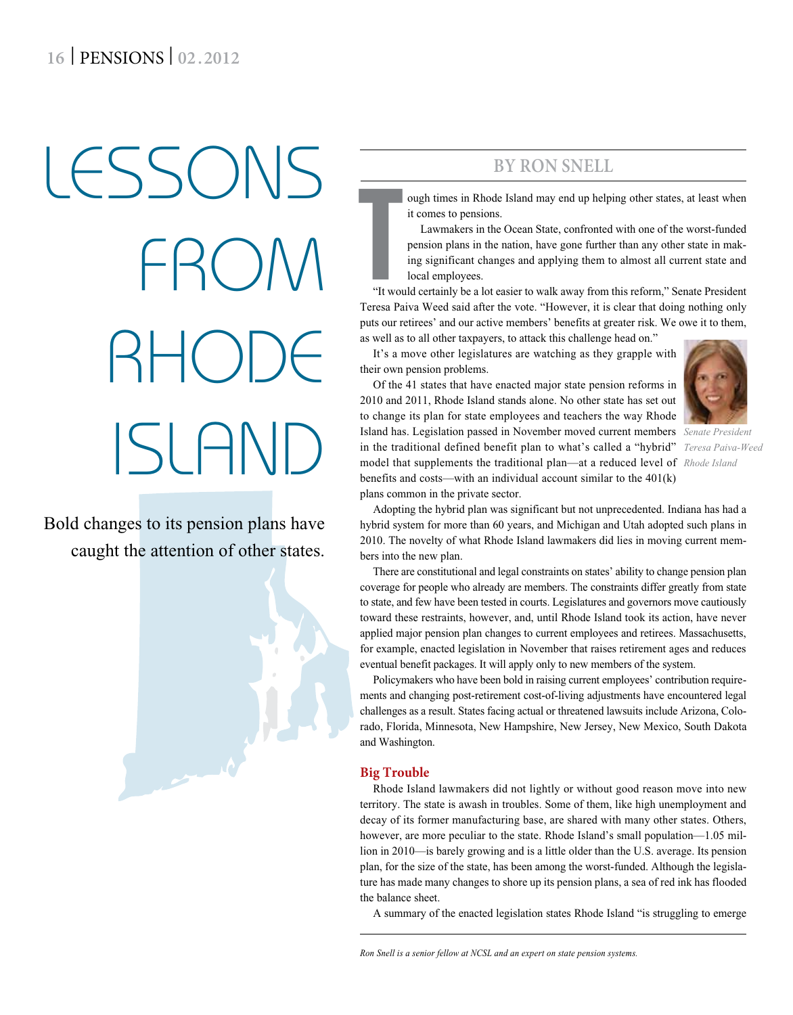# LESSONS  $R(\lambda)$ RHODE ISLAND

Bold changes to its pension plans have caught the attention of other states.



# **By Ron Snell**

ough times in Rhode Island may end up helping other states, at least when it comes to pensions.

Lawmakers in the Ocean State, confronted with one of the worst-funded pension plans in the nation, have gone further than any other state in making significant changes and applying them to almost all current state and local employees.

The Way of Terms Press Press Press Press Press Press Press Press Press Press Press Press Press Press Press Press Press Press Press Press Press Press Press Press Press Press Press Press Press Press Press Press Press Press P "It would certainly be a lot easier to walk away from this reform," Senate President Teresa Paiva Weed said after the vote. "However, it is clear that doing nothing only puts our retirees' and our active members' benefits at greater risk. We owe it to them, as well as to all other taxpayers, to attack this challenge head on."

It's a move other legislatures are watching as they grapple with their own pension problems.

Of the 41 states that have enacted major state pension reforms in

2010 and 2011, Rhode Island stands alone. No other state has set out to change its plan for state employees and teachers the way Rhode Island has. Legislation passed in November moved current members *Senate President*  in the traditional defined benefit plan to what's called a "hybrid" *Teresa Paiva-Weed* model that supplements the traditional plan—at a reduced level of *Rhode Island*benefits and costs—with an individual account similar to the 401(k) plans common in the private sector.

Adopting the hybrid plan was significant but not unprecedented. Indiana has had a hybrid system for more than 60 years, and Michigan and Utah adopted such plans in 2010. The novelty of what Rhode Island lawmakers did lies in moving current members into the new plan.

There are constitutional and legal constraints on states' ability to change pension plan coverage for people who already are members. The constraints differ greatly from state to state, and few have been tested in courts. Legislatures and governors move cautiously toward these restraints, however, and, until Rhode Island took its action, have never applied major pension plan changes to current employees and retirees. Massachusetts, for example, enacted legislation in November that raises retirement ages and reduces eventual benefit packages. It will apply only to new members of the system.

Policymakers who have been bold in raising current employees' contribution requirements and changing post-retirement cost-of-living adjustments have encountered legal challenges as a result. States facing actual or threatened lawsuits include Arizona, Colorado, Florida, Minnesota, New Hampshire, New Jersey, New Mexico, South Dakota and Washington.

## **Big Trouble**

Rhode Island lawmakers did not lightly or without good reason move into new territory. The state is awash in troubles. Some of them, like high unemployment and decay of its former manufacturing base, are shared with many other states. Others, however, are more peculiar to the state. Rhode Island's small population—1.05 million in 2010—is barely growing and is a little older than the U.S. average. Its pension plan, for the size of the state, has been among the worst-funded. Although the legislature has made many changes to shore up its pension plans, a sea of red ink has flooded the balance sheet.

A summary of the enacted legislation states Rhode Island "is struggling to emerge